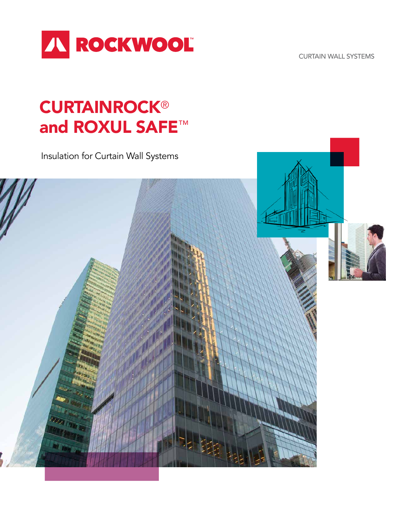

CURTAIN WALL SYSTEMS

# **CURTAINROCK®** and ROXUL SAFE™

Insulation for Curtain Wall Systems

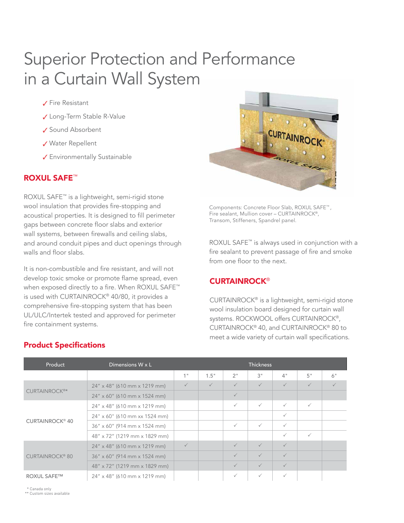# Superior Protection and Performance in a Curtain Wall System

#### ✓ Fire Resistant

- ✓ Long-Term Stable R-Value
- ✓ Sound Absorbent
- ✓ Water Repellent
- ✓ Environmentally Sustainable

#### ROXUL SAFE™

ROXUL SAFE™ is a lightweight, semi-rigid stone wool insulation that provides fire-stopping and acoustical properties. It is designed to fill perimeter gaps between concrete floor slabs and exterior wall systems, between firewalls and ceiling slabs, and around conduit pipes and duct openings through walls and floor slabs.

It is non-combustible and fire resistant, and will not develop toxic smoke or promote flame spread, even when exposed directly to a fire. When ROXUL SAFE™ is used with CURTAINROCK® 40/80, it provides a comprehensive fire-stopping system that has been UL/ULC/Intertek tested and approved for perimeter fire containment systems.



Components: Concrete Floor Slab, ROXUL SAFE™ , Fire sealant, Mullion cover – CURTAINROCK®, Transom, Stiffeners, Spandrel panel.

ROXUL SAFE™ is always used in conjunction with a fire sealant to prevent passage of fire and smoke from one floor to the next.

#### **CURTAINROCK®**

CURTAINROCK® is a lightweight, semi-rigid stone wool insulation board designed for curtain wall systems. ROCKWOOL offers CURTAINROCK®, CURTAINROCK® 40, and CURTAINROCK® 80 to meet a wide variety of curtain wall specifications.

| Product                           | Dimensions $W \times L$               | <b>Thickness</b> |              |              |              |              |              |    |
|-----------------------------------|---------------------------------------|------------------|--------------|--------------|--------------|--------------|--------------|----|
|                                   |                                       | 1 <sup>II</sup>  | 1.5"         | 2"           | 3"           | 4"           | 5"           | 6" |
|                                   | $24''$ x 48" (610 mm x 1219 mm)       | $\checkmark$     | $\checkmark$ | $\checkmark$ | $\checkmark$ | $\checkmark$ | $\checkmark$ |    |
| CURTAINROCK <sup>®*</sup>         | $24'' \times 60''$ (610 mm x 1524 mm) | $\checkmark$     |              |              |              |              |              |    |
| <b>CURTAINROCK<sup>®</sup> 40</b> | $24''$ x 48" (610 mm x 1219 mm)       |                  |              | $\checkmark$ | $\checkmark$ | $\checkmark$ | $\checkmark$ |    |
|                                   | 24" x 60" (610 mm xx 1524 mm)         |                  |              |              |              | $\checkmark$ |              |    |
|                                   | 36" x 60" (914 mm x 1524 mm)          |                  |              | $\checkmark$ | $\checkmark$ | $\checkmark$ |              |    |
|                                   | 48" x 72" (1219 mm x 1829 mm)         |                  |              |              |              | $\checkmark$ | $\checkmark$ |    |
| <b>CURTAINROCK® 80</b>            | $24''$ x 48" (610 mm x 1219 mm)       | $\checkmark$     |              | $\checkmark$ | $\checkmark$ | $\checkmark$ |              |    |
|                                   | 36" x 60" (914 mm x 1524 mm)          |                  |              | $\checkmark$ | $\checkmark$ | $\checkmark$ |              |    |
|                                   | 48" x 72" (1219 mm x 1829 mm)         |                  |              | $\checkmark$ | $\checkmark$ | $\checkmark$ |              |    |
| <b>ROXUL SAFE™</b>                | 24" x 48" (610 mm x 1219 mm)          |                  |              | $\checkmark$ | $\checkmark$ | $\checkmark$ |              |    |

### Product Specifications

\* Canada only

\*\* Custom sizes available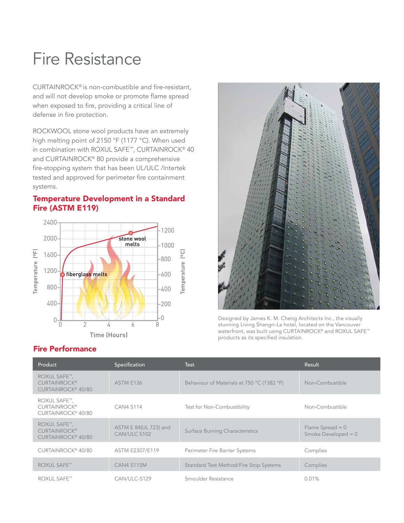## Fire Resistance

CURTAINROCK® is non-combustible and fire-resistant, and will not develop smoke or promote flame spread when exposed to fire, providing a critical line of defense in fire protection.

ROCKWOOL stone wool products have an extremely high melting point of 2150 °F (1177 °C). When used in combination with ROXUL SAFE™, CURTAINROCK® 40 and CURTAINROCK® 80 provide a comprehensive fire-stopping system that has been UL/ULC /Intertek tested and approved for perimeter fire containment systems.

#### Temperature Development in a Standard Fire (ASTM E119)



### Fire Performance



Designed by James K. M. Cheng Architects Inc., the visually stunning Living Shangri-La hotel, located on the Vancouver waterfront, was built using CURTAINROCK<sup>®</sup> and ROXUL SAFE™ products as its specified insulation.

| Product                                                                      | Specification                         | Test                                       | Result                                      |
|------------------------------------------------------------------------------|---------------------------------------|--------------------------------------------|---------------------------------------------|
| ROXUL SAFE™,<br><b>CURTAINROCK®</b><br>CURTAINROCK <sup>®</sup> 40/80        | ASTM E136                             | Behaviour of Materials at 750 °C (1382 °F) | Non-Combustible                             |
| ROXUL SAFE™,<br><b>CURTAINROCK®</b><br>CURTAINROCK <sup>®</sup> 40/80        | <b>CAN4 S114</b>                      | Test for Non-Combustibility                | Non-Combustible                             |
| <b>ROXUL SAFE™,</b><br><b>CURTAINROCK®</b><br>CURTAINROCK <sup>®</sup> 40/80 | ASTM E 84(UL 723) and<br>CAN/ULC S102 | Surface Burning Characteristics            | Flame Spread $= 0$<br>Smoke Developed = $0$ |
| CURTAINROCK <sup>®</sup> 40/80                                               | ASTM E2307/E119                       | Perimeter Fire Barrier Systems             | Complies                                    |
| <b>ROXUL SAFE™</b>                                                           | <b>CAN4 S115M</b>                     | Standard Test Method/Fire Stop Systems     | Complies                                    |
| <b>ROXUL SAFE™</b>                                                           | CAN/ULC-S129                          | Smoulder Resistance                        | 0.01%                                       |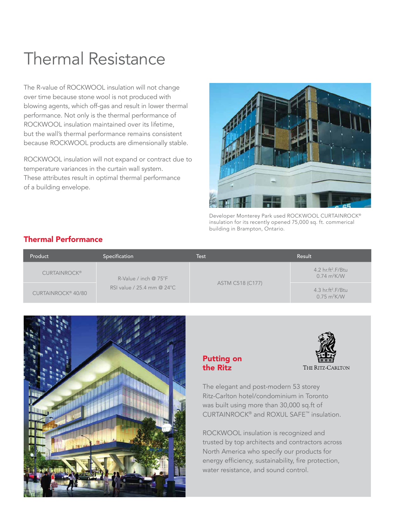### Thermal Resistance

The R-value of ROCKWOOL insulation will not change over time because stone wool is not produced with blowing agents, which off-gas and result in lower thermal performance. Not only is the thermal performance of ROCKWOOL insulation maintained over its lifetime, but the wall's thermal performance remains consistent because ROCKWOOL products are dimensionally stable.

ROCKWOOL insulation will not expand or contract due to temperature variances in the curtain wall system. These attributes result in optimal thermal performance of a building envelope.



Developer Monterey Park used ROCKWOOL CURTAINROCK® insulation for its recently opened 75,000 sq. ft. commerical building in Brampton, Ontario.

### Thermal Performance

| Product                        | Specification                 | Test             | Result                                               |
|--------------------------------|-------------------------------|------------------|------------------------------------------------------|
| <b>CURTAINROCK®</b>            | R-Value / inch $@75^{\circ}F$ |                  | 4.2 $hr.ft^2.F/Btu$<br>$0.74 \text{ m}^2 \text{K/W}$ |
| CURTAINROCK <sup>®</sup> 40/80 | RSI value / 25.4 mm @ 24°C    | ASTM C518 (C177) | 4.3 $hr.ft^2.F/Btu$<br>$0.75 \text{ m}^2$ K/W        |



### Putting on the Ritz



The elegant and post-modern 53 storey Ritz-Carlton hotel/condominium in Toronto was built using more than 30,000 sq.ft of CURTAINROCK® and ROXUL SAFE™ insulation.

ROCKWOOL insulation is recognized and trusted by top architects and contractors across North America who specify our products for energy efficiency, sustainability, fire protection, water resistance, and sound control.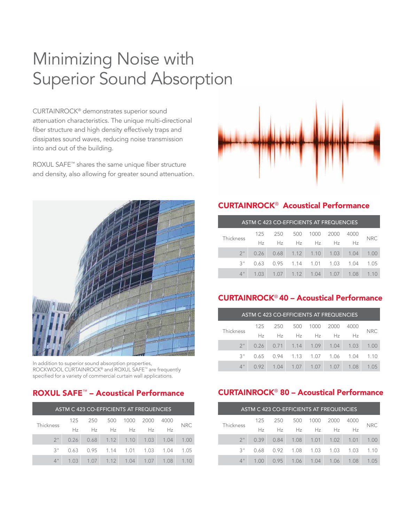# Minimizing Noise with Superior Sound Absorption

CURTAINROCK® demonstrates superior sound attenuation characteristics. The unique multi-directional fiber structure and high density effectively traps and dissipates sound waves, reducing noise transmission into and out of the building.

ROXUL SAFE™ shares the same unique fiber structure and density, also allowing for greater sound attenuation.



In addition to superior sound absorption properties, ROCKWOOL CURTAINROCK® and ROXUL SAFE™ are frequently specified for a variety of commercial curtain wall applications.

| ASTM C 423 CO-EFFICIENTS AT FREQUENCIES |      |      |                  |      |      |      |      |
|-----------------------------------------|------|------|------------------|------|------|------|------|
| Thickness                               | 125  | 250  | 500              | 1000 | 2000 | 4000 | NRC. |
|                                         | Hz   | Hz   | Hz               | Hz   | Hz   | Hz   |      |
| 2 <sup>11</sup>                         | 0.26 |      | $0.68$ 1.12 1.10 |      | 1.03 | 1.04 | 1.00 |
| 3"                                      | 0.63 | 0.95 | 1.14             | 1.01 | 1.03 | 1.04 | 1.05 |
| $4$ "                                   | 1.03 | 1.07 | 1.12             | 1.04 | 1.07 | 1.08 |      |



### CURTAINROCK® Acoustical Performance

| ASTM C 423 CO-EFFICIENTS AT FREQUENCIES |                |      |                                           |               |      |      |      |  |
|-----------------------------------------|----------------|------|-------------------------------------------|---------------|------|------|------|--|
|                                         | 125            | 250  | 500                                       | 1000          | 2000 | 4000 | NRC. |  |
| Thickness                               | H <sub>z</sub> | Hz   | Hz                                        | Hz            | Hz.  | Ηz   |      |  |
| $2^{\circ}$                             |                |      | $0.26$ $0.68$ $1.12$ $1.10$ $1.03$ $1.04$ |               |      |      | 1.00 |  |
| 3"                                      | 0.63           | 0.95 |                                           | $1.14$ $1.01$ | 1.03 | 1.04 | 1.05 |  |
| $\Delta$ "                              | 1.03           | 1.07 | 1.12                                      | 1.04          | 1.07 | 1.08 |      |  |

### CURTAINROCK® 40 – Acoustical Performance

| ASTM C 423 CO-EFFICIENTS AT FREQUENCIES |      |      |                            |      |      |      |            |
|-----------------------------------------|------|------|----------------------------|------|------|------|------------|
|                                         | 125  | 250  | 500                        | 1000 | 2000 | 4000 | <b>NRC</b> |
| Thickness                               | Hz   | Hz   | Hz                         | Hz   | Hz   | Ηz   |            |
| 2 <sup>11</sup>                         |      |      | $0.26$ 0.71 1.14 1.09 1.04 |      |      | 1.03 | 1.00       |
| 3"                                      | 0.65 | 0.94 | 1.13                       | 1.07 | 1.06 | 1.04 | 1.1()      |
| $\Delta$ "                              | O 92 | 1.04 | 1 <sub>07</sub>            | 1.07 | 1.07 | 1.08 | 1 በ5       |

### ROXUL SAFE<sup>™</sup> – Acoustical Performance **60 CURTAINROCK<sup>®</sup> 80 – Acoustical Performance**

| ASTM C 423 CO-EFFICIENTS AT FREQUENCIES |      |      |      |                 |      |      |      |
|-----------------------------------------|------|------|------|-----------------|------|------|------|
| Thickness                               | 125  | 250  | 500  | 1000            | 2000 | 4000 | NRC. |
|                                         | Hz   | Hz   | Hz   | Hz              | Hz   | Hz   |      |
| 2 <sup>11</sup>                         | 0.39 | 0.84 | 1.08 | 1.01            | 1.02 | 1.01 | 1.00 |
| 3"                                      | 0.68 | 0.92 | 1.08 | 1.03            | 1.03 | 1.03 | 1.10 |
| $\Delta$ "                              | 1 OC | O 95 | 1.06 | 1 <sub>04</sub> | 1.06 | 1.08 | 1 በ5 |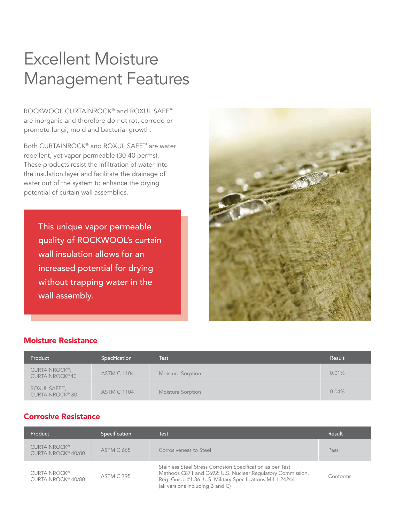# Excellent Moisture Management Features

ROCKWOOL CURTAINROCK® and ROXUL SAFE™ are inorganic and therefore do not rot, corrode or promote fungi, mold and bacterial growth.

Both CURTAINROCK® and ROXUL SAFE™ are water repellent, yet vapor permeable (30-40 perms). These products resist the infiltration of water into the insulation layer and facilitate the drainage of water out of the system to enhance the drying potential of curtain wall assemblies.

This unique vapor permeable quality of ROCKWOOL's curtain wall insulation allows for an increased potential for drying without trapping water in the wall assembly.



#### Moisture Resistance

| Product                                      | Specification      | Test              | Result |
|----------------------------------------------|--------------------|-------------------|--------|
| CURTAINROCK®,<br>CURTAINROCK <sup>®</sup> 40 | <b>ASTM C 1104</b> | Moisture Sorption | 0.01%  |
| ROXUL SAFE™,<br><b>CURTAINROCK® 80</b>       | <b>ASTM C 1104</b> | Moisture Sorption | 0.04%  |

### Corrosive Resistance

| Product                                               | Specification     | Test                                                                                                                                                                                                                       | Result   |
|-------------------------------------------------------|-------------------|----------------------------------------------------------------------------------------------------------------------------------------------------------------------------------------------------------------------------|----------|
| <b>CURTAINROCK®</b><br>CURTAINROCK <sup>®</sup> 40/80 | <b>ASTM C 665</b> | Corrosiveness to Steel                                                                                                                                                                                                     | Pass     |
| <b>CURTAINROCK®</b><br>CURTAINROCK <sup>®</sup> 40/80 | <b>ASTM C 795</b> | Stainless Steel Stress Corrosion Specification as per Test<br>Methods C871 and C692: U.S. Nuclear Regulatory Commission,<br>Reg. Guide #1.36: U.S. Military Specifications MIL-I-24244<br>(all versions including B and C) | Conforms |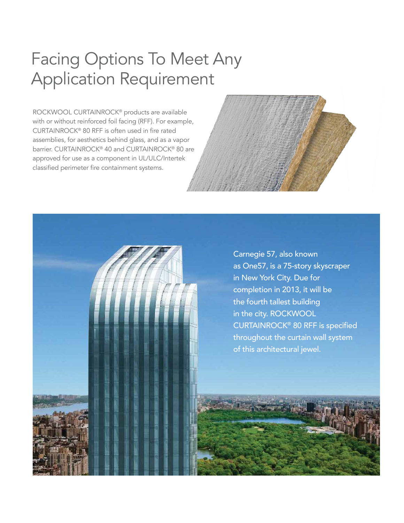# Facing Options To Meet Any Application Requirement

ROCKWOOL CURTAINROCK® products are available with or without reinforced foil facing (RFF). For example, CURTAINROCK® 80 RFF is often used in fire rated assemblies, for aesthetics behind glass, and as a vapor barrier. CURTAINROCK® 40 and CURTAINROCK® 80 are approved for use as a component in UL/ULC/Intertek classified perimeter fire containment systems.